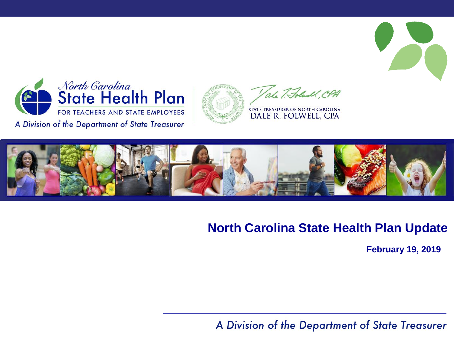

Tale 7. Folwall, CPA

STATE TREASURER OF NORTH CAROLINA DALE R. FOLWELL, CPA



#### **North Carolina State Health Plan Update**

**February 19, 2019**

A Division of the Department of State Treasurer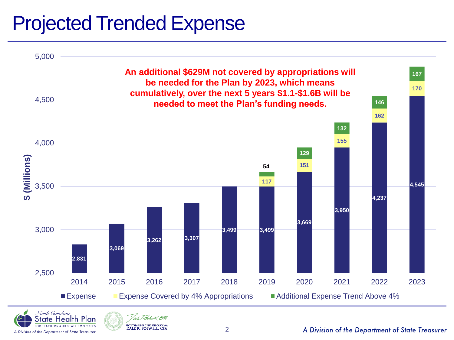# Projected Trended Expense





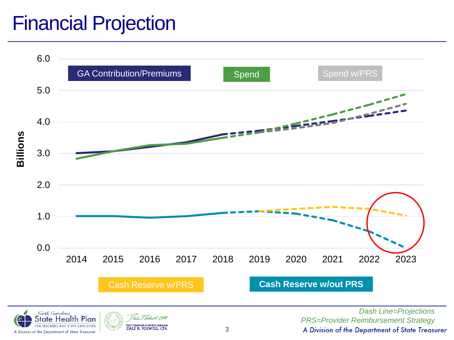## Financial Projection

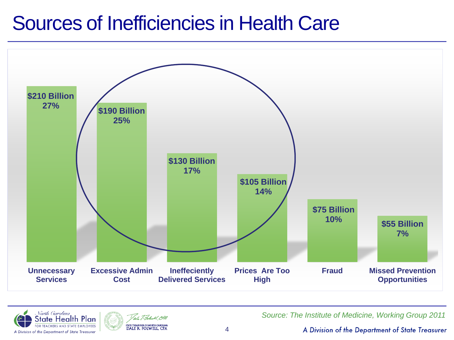### Sources of Inefficiencies in Health Care







*Source: The Institute of Medicine, Working Group 2011*

A Division of the Department of State Treasurer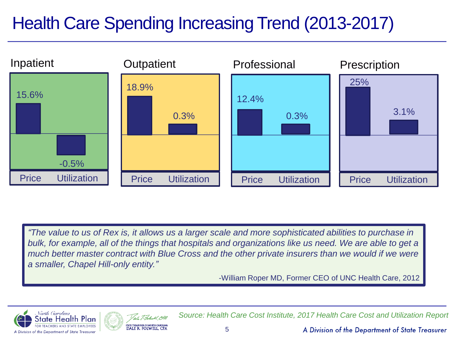### Health Care Spending Increasing Trend (2013-2017)



*"The value to us of Rex is, it allows us a larger scale and more sophisticated abilities to purchase in*  bulk, for example, all of the things that hospitals and organizations like us need. We are able to get a *much better master contract with Blue Cross and the other private insurers than we would if we were a smaller, Chapel Hill-only entity."*

-William Roper MD, Former CEO of UNC Health Care, 2012





*Source: Health Care Cost Institute, 2017 Health Care Cost and Utilization Report*